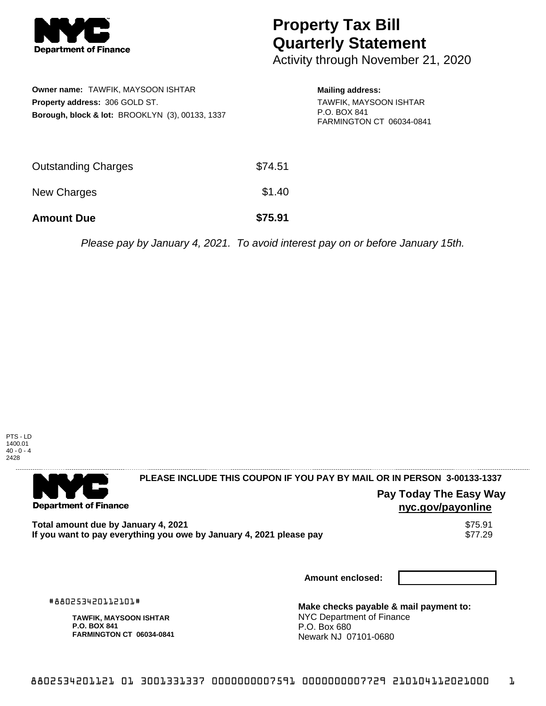

## **Property Tax Bill Quarterly Statement**

Activity through November 21, 2020

|         | <b>Mailing address:</b><br>TAWFIK, MAYSOON ISHTAR<br>P.O. BOX 841<br>FARMINGTON CT 06034-0841 |
|---------|-----------------------------------------------------------------------------------------------|
| \$74.51 |                                                                                               |
| \$1.40  |                                                                                               |
| \$75.91 |                                                                                               |
|         |                                                                                               |

Please pay by January 4, 2021. To avoid interest pay on or before January 15th.



. . . . . . . . . . . . . . . .

## 

**Department of Finance** 

**PLEASE INCLUDE THIS COUPON IF YOU PAY BY MAIL OR IN PERSON 3-00133-1337** 

**Pay Today The Easy Way nyc.gov/payonline**

Total amount due by January 4, 2021<br>If you want to pay everything you owe by January 4, 2021 please pay **strategy and the same of the strategy of** 77.29 If you want to pay everything you owe by January 4, 2021 please pay

**Amount enclosed:**

#880253420112101#

**TAWFIK, MAYSOON ISHTAR P.O. BOX 841 FARMINGTON CT 06034-0841**

**Make checks payable & mail payment to:** NYC Department of Finance P.O. Box 680 Newark NJ 07101-0680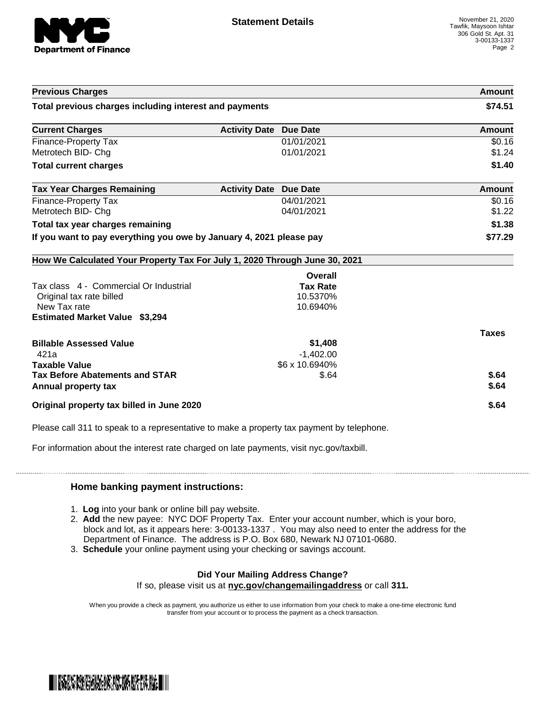

| <b>Previous Charges</b>                                                                   |                               |                 | Amount        |
|-------------------------------------------------------------------------------------------|-------------------------------|-----------------|---------------|
| Total previous charges including interest and payments                                    |                               |                 | \$74.51       |
| <b>Current Charges</b>                                                                    | <b>Activity Date Due Date</b> |                 | <b>Amount</b> |
| Finance-Property Tax                                                                      |                               | 01/01/2021      | \$0.16        |
| Metrotech BID- Chg                                                                        |                               | 01/01/2021      | \$1.24        |
| <b>Total current charges</b>                                                              |                               |                 | \$1.40        |
| <b>Tax Year Charges Remaining</b>                                                         | <b>Activity Date Due Date</b> |                 | <b>Amount</b> |
| <b>Finance-Property Tax</b>                                                               |                               | 04/01/2021      | \$0.16        |
| Metrotech BID- Chg                                                                        |                               | 04/01/2021      | \$1.22        |
| Total tax year charges remaining                                                          |                               |                 | \$1.38        |
| If you want to pay everything you owe by January 4, 2021 please pay                       | \$77.29                       |                 |               |
| How We Calculated Your Property Tax For July 1, 2020 Through June 30, 2021                |                               |                 |               |
|                                                                                           |                               | Overall         |               |
| Tax class 4 - Commercial Or Industrial                                                    |                               | <b>Tax Rate</b> |               |
| Original tax rate billed                                                                  |                               | 10.5370%        |               |
| New Tax rate                                                                              |                               | 10.6940%        |               |
| <b>Estimated Market Value \$3,294</b>                                                     |                               |                 |               |
|                                                                                           |                               |                 | <b>Taxes</b>  |
| <b>Billable Assessed Value</b>                                                            |                               | \$1,408         |               |
| 421a                                                                                      |                               | $-1,402.00$     |               |
| <b>Taxable Value</b>                                                                      |                               | \$6 x 10.6940%  |               |
| <b>Tax Before Abatements and STAR</b>                                                     |                               | \$.64           | \$.64         |
| Annual property tax                                                                       |                               |                 | \$.64         |
| Original property tax billed in June 2020                                                 |                               |                 | \$.64         |
| Please call 311 to speak to a representative to make a property tax payment by telephone. |                               |                 |               |

For information about the interest rate charged on late payments, visit nyc.gov/taxbill.

## **Home banking payment instructions:**

- 1. **Log** into your bank or online bill pay website.
- 2. **Add** the new payee: NYC DOF Property Tax. Enter your account number, which is your boro, block and lot, as it appears here: 3-00133-1337 . You may also need to enter the address for the Department of Finance. The address is P.O. Box 680, Newark NJ 07101-0680.
- 3. **Schedule** your online payment using your checking or savings account.

## **Did Your Mailing Address Change?** If so, please visit us at **nyc.gov/changemailingaddress** or call **311.**

When you provide a check as payment, you authorize us either to use information from your check to make a one-time electronic fund transfer from your account or to process the payment as a check transaction.